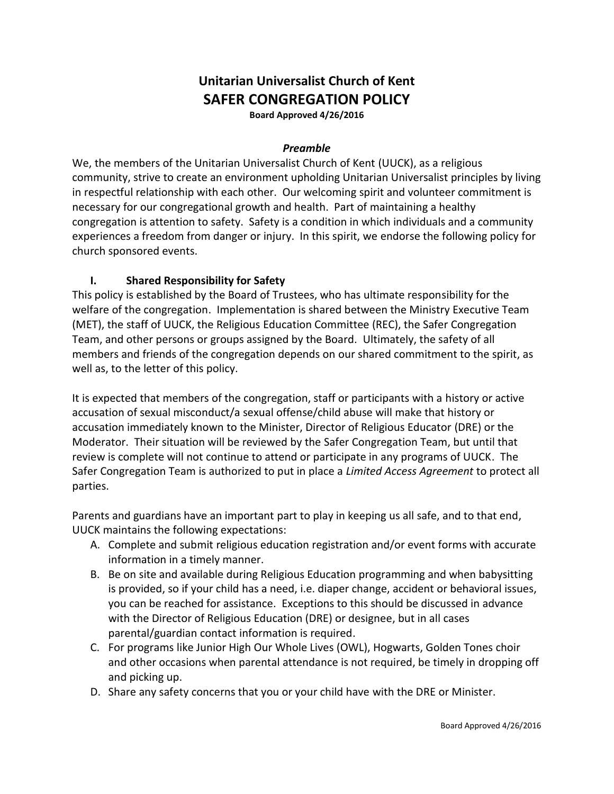# **Unitarian Universalist Church of Kent SAFER CONGREGATION POLICY**

**Board Approved 4/26/2016**

#### *Preamble*

We, the members of the Unitarian Universalist Church of Kent (UUCK), as a religious community, strive to create an environment upholding Unitarian Universalist principles by living in respectful relationship with each other. Our welcoming spirit and volunteer commitment is necessary for our congregational growth and health. Part of maintaining a healthy congregation is attention to safety. Safety is a condition in which individuals and a community experiences a freedom from danger or injury. In this spirit, we endorse the following policy for church sponsored events.

#### **I. Shared Responsibility for Safety**

This policy is established by the Board of Trustees, who has ultimate responsibility for the welfare of the congregation. Implementation is shared between the Ministry Executive Team (MET), the staff of UUCK, the Religious Education Committee (REC), the Safer Congregation Team, and other persons or groups assigned by the Board. Ultimately, the safety of all members and friends of the congregation depends on our shared commitment to the spirit, as well as, to the letter of this policy.

It is expected that members of the congregation, staff or participants with a history or active accusation of sexual misconduct/a sexual offense/child abuse will make that history or accusation immediately known to the Minister, Director of Religious Educator (DRE) or the Moderator. Their situation will be reviewed by the Safer Congregation Team, but until that review is complete will not continue to attend or participate in any programs of UUCK. The Safer Congregation Team is authorized to put in place a *Limited Access Agreement* to protect all parties.

Parents and guardians have an important part to play in keeping us all safe, and to that end, UUCK maintains the following expectations:

- A. Complete and submit religious education registration and/or event forms with accurate information in a timely manner.
- B. Be on site and available during Religious Education programming and when babysitting is provided, so if your child has a need, i.e. diaper change, accident or behavioral issues, you can be reached for assistance. Exceptions to this should be discussed in advance with the Director of Religious Education (DRE) or designee, but in all cases parental/guardian contact information is required.
- C. For programs like Junior High Our Whole Lives (OWL), Hogwarts, Golden Tones choir and other occasions when parental attendance is not required, be timely in dropping off and picking up.
- D. Share any safety concerns that you or your child have with the DRE or Minister.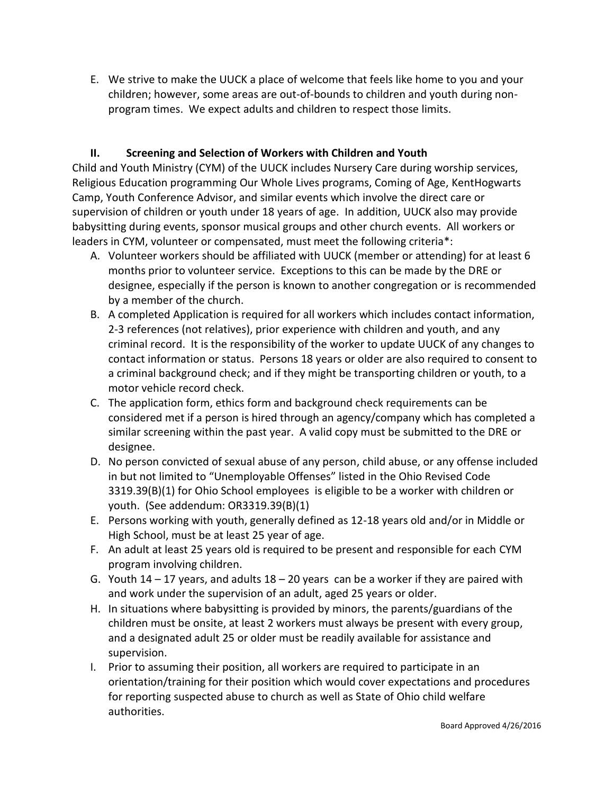E. We strive to make the UUCK a place of welcome that feels like home to you and your children; however, some areas are out-of-bounds to children and youth during nonprogram times. We expect adults and children to respect those limits.

### **II. Screening and Selection of Workers with Children and Youth**

Child and Youth Ministry (CYM) of the UUCK includes Nursery Care during worship services, Religious Education programming Our Whole Lives programs, Coming of Age, KentHogwarts Camp, Youth Conference Advisor, and similar events which involve the direct care or supervision of children or youth under 18 years of age. In addition, UUCK also may provide babysitting during events, sponsor musical groups and other church events. All workers or leaders in CYM, volunteer or compensated, must meet the following criteria\*:

- A. Volunteer workers should be affiliated with UUCK (member or attending) for at least 6 months prior to volunteer service. Exceptions to this can be made by the DRE or designee, especially if the person is known to another congregation or is recommended by a member of the church.
- B. A completed Application is required for all workers which includes contact information, 2-3 references (not relatives), prior experience with children and youth, and any criminal record. It is the responsibility of the worker to update UUCK of any changes to contact information or status. Persons 18 years or older are also required to consent to a criminal background check; and if they might be transporting children or youth, to a motor vehicle record check.
- C. The application form, ethics form and background check requirements can be considered met if a person is hired through an agency/company which has completed a similar screening within the past year. A valid copy must be submitted to the DRE or designee.
- D. No person convicted of sexual abuse of any person, child abuse, or any offense included in but not limited to "Unemployable Offenses" listed in the Ohio Revised Code 3319.39(B)(1) for Ohio School employees is eligible to be a worker with children or youth. (See addendum: OR3319.39(B)(1)
- E. Persons working with youth, generally defined as 12-18 years old and/or in Middle or High School, must be at least 25 year of age.
- F. An adult at least 25 years old is required to be present and responsible for each CYM program involving children.
- G. Youth  $14 17$  years, and adults  $18 20$  years can be a worker if they are paired with and work under the supervision of an adult, aged 25 years or older.
- H. In situations where babysitting is provided by minors, the parents/guardians of the children must be onsite, at least 2 workers must always be present with every group, and a designated adult 25 or older must be readily available for assistance and supervision.
- I. Prior to assuming their position, all workers are required to participate in an orientation/training for their position which would cover expectations and procedures for reporting suspected abuse to church as well as State of Ohio child welfare authorities.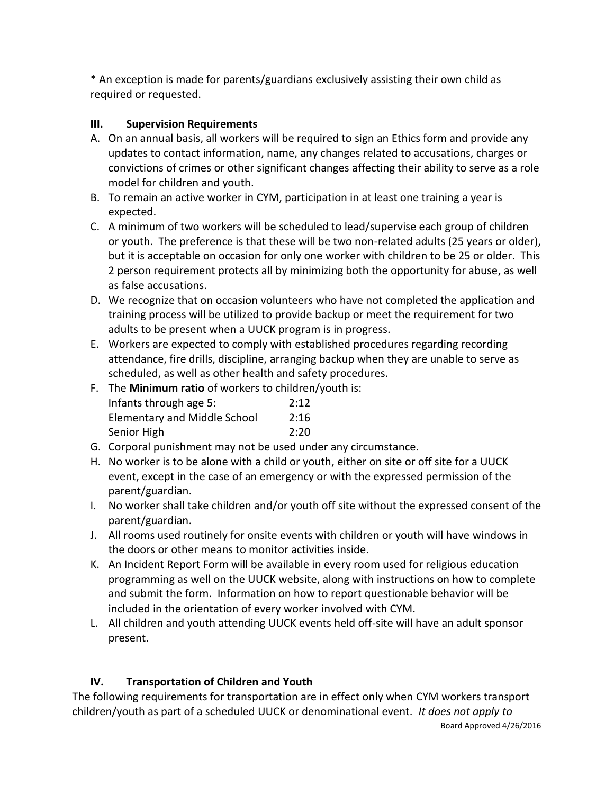\* An exception is made for parents/guardians exclusively assisting their own child as required or requested.

### **III. Supervision Requirements**

- A. On an annual basis, all workers will be required to sign an Ethics form and provide any updates to contact information, name, any changes related to accusations, charges or convictions of crimes or other significant changes affecting their ability to serve as a role model for children and youth.
- B. To remain an active worker in CYM, participation in at least one training a year is expected.
- C. A minimum of two workers will be scheduled to lead/supervise each group of children or youth. The preference is that these will be two non-related adults (25 years or older), but it is acceptable on occasion for only one worker with children to be 25 or older. This 2 person requirement protects all by minimizing both the opportunity for abuse, as well as false accusations.
- D. We recognize that on occasion volunteers who have not completed the application and training process will be utilized to provide backup or meet the requirement for two adults to be present when a UUCK program is in progress.
- E. Workers are expected to comply with established procedures regarding recording attendance, fire drills, discipline, arranging backup when they are unable to serve as scheduled, as well as other health and safety procedures.
- F. The **Minimum ratio** of workers to children/youth is:

| Infants through age 5:              | 2:12 |
|-------------------------------------|------|
| <b>Elementary and Middle School</b> | 2:16 |
| Senior High                         | 2:20 |

- G. Corporal punishment may not be used under any circumstance.
- H. No worker is to be alone with a child or youth, either on site or off site for a UUCK event, except in the case of an emergency or with the expressed permission of the parent/guardian.
- I. No worker shall take children and/or youth off site without the expressed consent of the parent/guardian.
- J. All rooms used routinely for onsite events with children or youth will have windows in the doors or other means to monitor activities inside.
- K. An Incident Report Form will be available in every room used for religious education programming as well on the UUCK website, along with instructions on how to complete and submit the form. Information on how to report questionable behavior will be included in the orientation of every worker involved with CYM.
- L. All children and youth attending UUCK events held off-site will have an adult sponsor present.

# **IV. Transportation of Children and Youth**

The following requirements for transportation are in effect only when CYM workers transport children/youth as part of a scheduled UUCK or denominational event. *It does not apply to*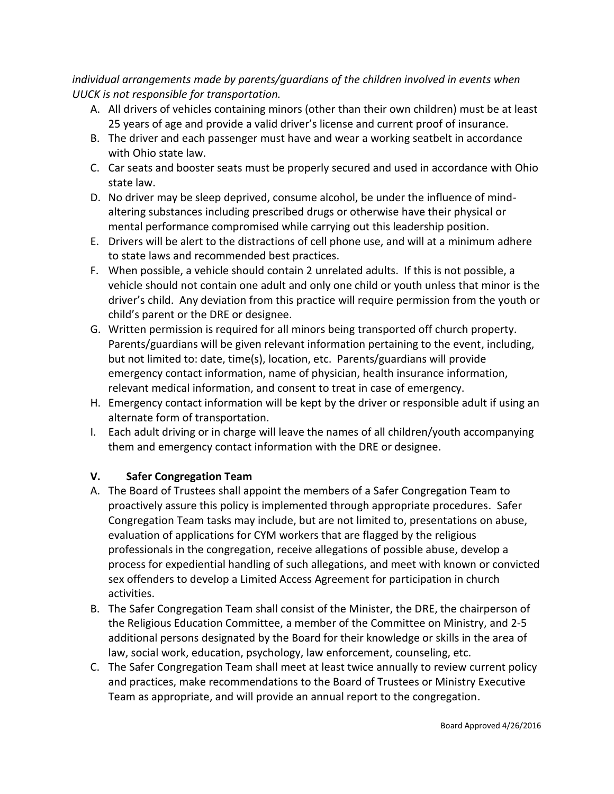*individual arrangements made by parents/guardians of the children involved in events when UUCK is not responsible for transportation.*

- A. All drivers of vehicles containing minors (other than their own children) must be at least 25 years of age and provide a valid driver's license and current proof of insurance.
- B. The driver and each passenger must have and wear a working seatbelt in accordance with Ohio state law.
- C. Car seats and booster seats must be properly secured and used in accordance with Ohio state law.
- D. No driver may be sleep deprived, consume alcohol, be under the influence of mindaltering substances including prescribed drugs or otherwise have their physical or mental performance compromised while carrying out this leadership position.
- E. Drivers will be alert to the distractions of cell phone use, and will at a minimum adhere to state laws and recommended best practices.
- F. When possible, a vehicle should contain 2 unrelated adults. If this is not possible, a vehicle should not contain one adult and only one child or youth unless that minor is the driver's child. Any deviation from this practice will require permission from the youth or child's parent or the DRE or designee.
- G. Written permission is required for all minors being transported off church property. Parents/guardians will be given relevant information pertaining to the event, including, but not limited to: date, time(s), location, etc. Parents/guardians will provide emergency contact information, name of physician, health insurance information, relevant medical information, and consent to treat in case of emergency.
- H. Emergency contact information will be kept by the driver or responsible adult if using an alternate form of transportation.
- I. Each adult driving or in charge will leave the names of all children/youth accompanying them and emergency contact information with the DRE or designee.

# **V. Safer Congregation Team**

- A. The Board of Trustees shall appoint the members of a Safer Congregation Team to proactively assure this policy is implemented through appropriate procedures. Safer Congregation Team tasks may include, but are not limited to, presentations on abuse, evaluation of applications for CYM workers that are flagged by the religious professionals in the congregation, receive allegations of possible abuse, develop a process for expediential handling of such allegations, and meet with known or convicted sex offenders to develop a Limited Access Agreement for participation in church activities.
- B. The Safer Congregation Team shall consist of the Minister, the DRE, the chairperson of the Religious Education Committee, a member of the Committee on Ministry, and 2-5 additional persons designated by the Board for their knowledge or skills in the area of law, social work, education, psychology, law enforcement, counseling, etc.
- C. The Safer Congregation Team shall meet at least twice annually to review current policy and practices, make recommendations to the Board of Trustees or Ministry Executive Team as appropriate, and will provide an annual report to the congregation.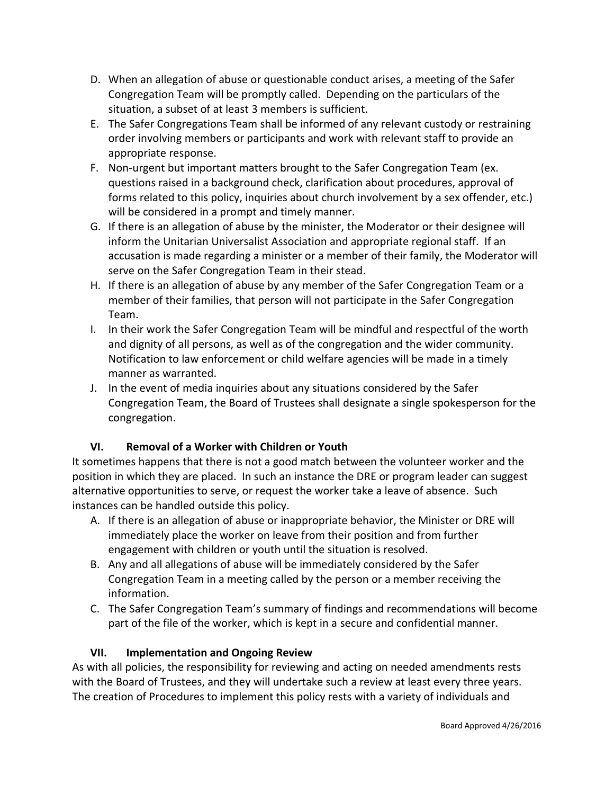- D. When an allegation of abuse or questionable conduct arises, a meeting of the Safer Congregation Team will be promptly called. Depending on the particulars of the situation, a subset of at least 3 members is sufficient.
- E. The Safer Congregations Team shall be informed of any relevant custody or restraining order involving members or participants and work with relevant staff to provide an appropriate response.
- F. Non-urgent but important matters brought to the Safer Congregation Team (ex. questions raised in a background check, clarification about procedures, approval of forms related to this policy, inquiries about church involvement by a sex offender, etc.) will be considered in a prompt and timely manner.
- G. If there is an allegation of abuse by the minister, the Moderator or their designee will inform the Unitarian Universalist Association and appropriate regional staff. If an accusation is made regarding a minister or a member of their family, the Moderator will serve on the Safer Congregation Team in their stead.
- H. If there is an allegation of abuse by any member of the Safer Congregation Team or a member of their families, that person will not participate in the Safer Congregation Team.
- I. In their work the Safer Congregation Team will be mindful and respectful of the worth and dignity of all persons, as well as of the congregation and the wider community. Notification to law enforcement or child welfare agencies will be made in a timely manner as warranted.
- J. In the event of media inquiries about any situations considered by the Safer Congregation Team, the Board of Trustees shall designate a single spokesperson for the congregation.

# **VI. Removal of a Worker with Children or Youth**

It sometimes happens that there is not a good match between the volunteer worker and the position in which they are placed. In such an instance the DRE or program leader can suggest alternative opportunities to serve, or request the worker take a leave of absence. Such instances can be handled outside this policy.

- A. If there is an allegation of abuse or inappropriate behavior, the Minister or DRE will immediately place the worker on leave from their position and from further engagement with children or youth until the situation is resolved.
- B. Any and all allegations of abuse will be immediately considered by the Safer Congregation Team in a meeting called by the person or a member receiving the information.
- C. The Safer Congregation Team's summary of findings and recommendations will become part of the file of the worker, which is kept in a secure and confidential manner.

# **VII. Implementation and Ongoing Review**

As with all policies, the responsibility for reviewing and acting on needed amendments rests with the Board of Trustees, and they will undertake such a review at least every three years. The creation of Procedures to implement this policy rests with a variety of individuals and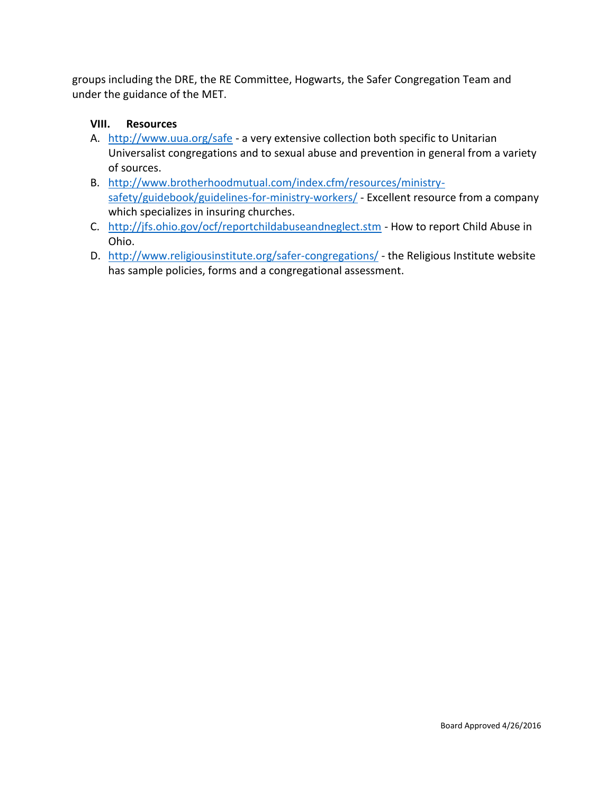groups including the DRE, the RE Committee, Hogwarts, the Safer Congregation Team and under the guidance of the MET.

#### **VIII. Resources**

- A. <http://www.uua.org/safe> a very extensive collection both specific to Unitarian Universalist congregations and to sexual abuse and prevention in general from a variety of sources.
- B. [http://www.brotherhoodmutual.com/index.cfm/resources/ministry](http://www.brotherhoodmutual.com/index.cfm/resources/ministry-safety/guidebook/guidelines-for-ministry-workers/)[safety/guidebook/guidelines-for-ministry-workers/](http://www.brotherhoodmutual.com/index.cfm/resources/ministry-safety/guidebook/guidelines-for-ministry-workers/) - Excellent resource from a company which specializes in insuring churches.
- C. <http://jfs.ohio.gov/ocf/reportchildabuseandneglect.stm> How to report Child Abuse in Ohio.
- D. <http://www.religiousinstitute.org/safer-congregations/> the Religious Institute website has sample policies, forms and a congregational assessment.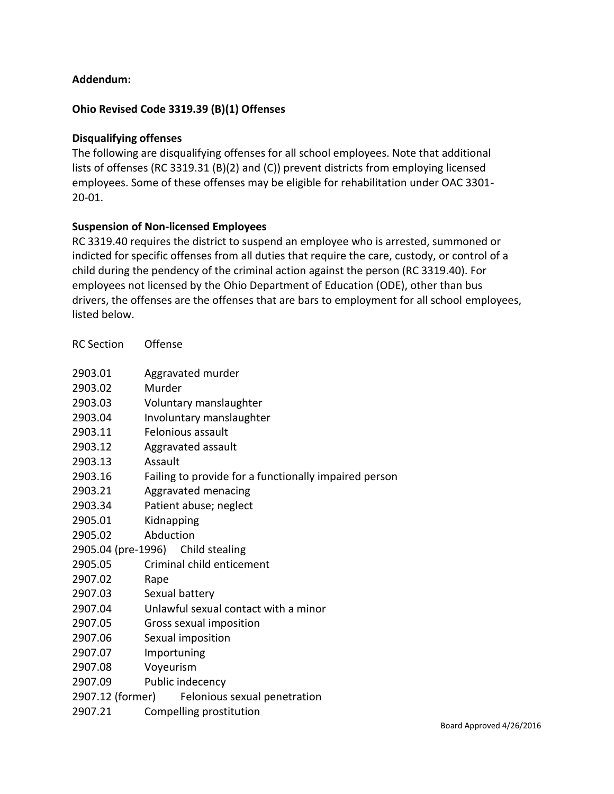#### **Addendum:**

#### **Ohio Revised Code 3319.39 (B)(1) Offenses**

#### **Disqualifying offenses**

The following are disqualifying offenses for all school employees. Note that additional lists of offenses (RC 3319.31 (B)(2) and (C)) prevent districts from employing licensed employees. Some of these offenses may be eligible for rehabilitation under OAC 3301- 20-01.

#### **Suspension of Non-licensed Employees**

RC 3319.40 requires the district to suspend an employee who is arrested, summoned or indicted for specific offenses from all duties that require the care, custody, or control of a child during the pendency of the criminal action against the person (RC 3319.40). For employees not licensed by the Ohio Department of Education (ODE), other than bus drivers, the offenses are the offenses that are bars to employment for all school employees, listed below.

| <b>RC</b> Section | Offense                                               |
|-------------------|-------------------------------------------------------|
|                   |                                                       |
| 2903.01           | Aggravated murder                                     |
| 2903.02           | Murder                                                |
| 2903.03           | Voluntary manslaughter                                |
| 2903.04           | Involuntary manslaughter                              |
| 2903.11           | Felonious assault                                     |
| 2903.12           | Aggravated assault                                    |
| 2903.13           | Assault                                               |
| 2903.16           | Failing to provide for a functionally impaired person |
| 2903.21           | Aggravated menacing                                   |
| 2903.34           | Patient abuse; neglect                                |
| 2905.01           | Kidnapping                                            |
| 2905.02           | Abduction                                             |
|                   | 2905.04 (pre-1996) Child stealing                     |
| 2905.05           | Criminal child enticement                             |
| 2907.02           | Rape                                                  |
| 2907.03           | Sexual battery                                        |
| 2907.04           | Unlawful sexual contact with a minor                  |
| 2907.05           | Gross sexual imposition                               |
| 2907.06           | Sexual imposition                                     |
| 2907.07           | Importuning                                           |
| 2907.08           | Voyeurism                                             |
| 2907.09           | Public indecency                                      |
| 2907.12 (former)  | Felonious sexual penetration                          |
| 2907.21           | Compelling prostitution                               |